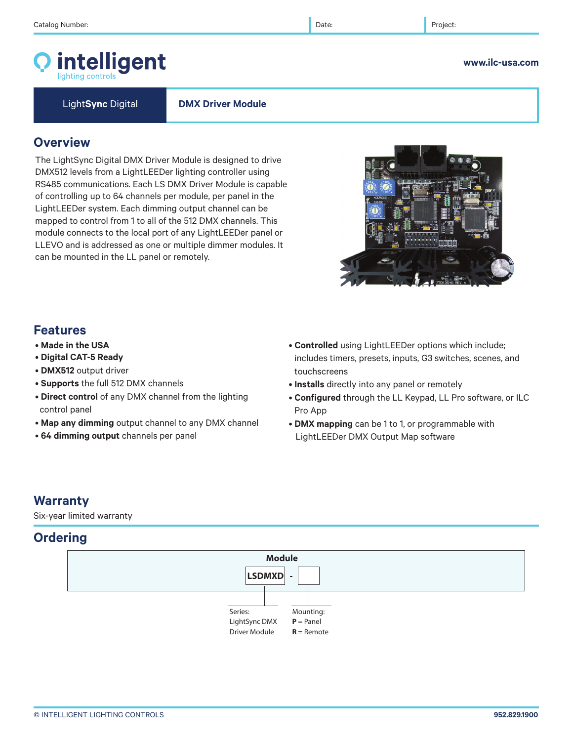# intelligent

© INTELLIGENT LIGHTING CONTROLS **952.829.1900** 

Light**Sync** Digital **DMX Driver Module**

### **Overview**

The LightSync Digital DMX Driver Module is designed to drive DMX512 levels from a LightLEEDer lighting controller using RS485 communications. Each LS DMX Driver Module is capable of controlling up to 64 channels per module, per panel in the LightLEEDer system. Each dimming output channel can be mapped to control from 1 to all of the 512 DMX channels. This module connects to the local port of any LightLEEDer panel or LLEVO and is addressed as one or multiple dimmer modules. It can be mounted in the LL panel or remotely.

# **Features**

- **Made in the USA**
- **Digital CAT-5 Ready**
- **DMX512** output driver
- **Supports** the full 512 DMX channels
- **Direct control** of any DMX channel from the lighting control panel
- **Map any dimming** output channel to any DMX channel
- **64 dimming output** channels per panel
- **Controlled** using LightLEEDer options which include; includes timers, presets, inputs, G3 switches, scenes, and touchscreens
- **Installs** directly into any panel or remotely
- **Configured** through the LL Keypad, LL Pro software, or ILC Pro App
- **DMX mapping** can be 1 to 1, or programmable with LightLEEDer DMX Output Map software

# **Warranty**

Six-year limited warranty

# **Ordering**



#### **www.ilc-usa.com**